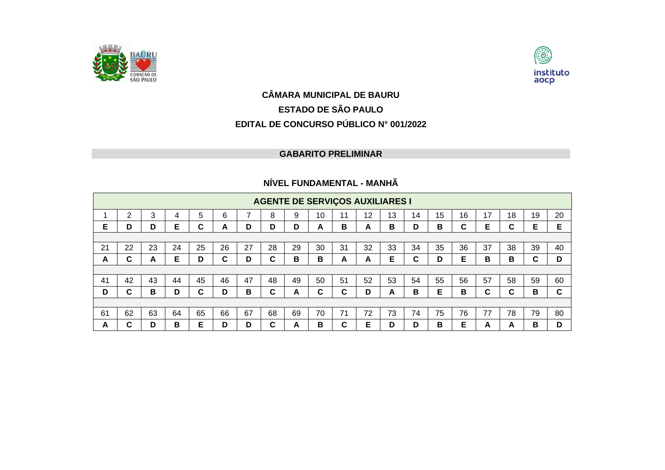



## **CÂMARA MUNICIPAL DE BAURU ESTADO DE SÃO PAULO EDITAL DE CONCURSO PÚBLICO N° 001/2022**

## **GABARITO PRELIMINAR**

## **NÍVEL FUNDAMENTAL - MANHÃ**

|    | <b>AGENTE DE SERVIÇOS AUXILIARES I</b> |    |    |    |    |    |    |    |    |        |    |    |    |    |    |    |    |    |    |
|----|----------------------------------------|----|----|----|----|----|----|----|----|--------|----|----|----|----|----|----|----|----|----|
|    | 2                                      | 3  | 4  | 5  | 6  |    | 8  | 9  | 10 | 11     | 12 | 13 | 14 | 15 | 16 | 17 | 18 | 19 | 20 |
| Е  | D                                      | D  | Е  | C  | A  | D  | D  | D  | A  | B      | A  | в  | D  | В  | C  | Е  | С  | Е  | Е  |
|    |                                        |    |    |    |    |    |    |    |    |        |    |    |    |    |    |    |    |    |    |
| 21 | 22                                     | 23 | 24 | 25 | 26 | 27 | 28 | 29 | 30 | 31     | 32 | 33 | 34 | 35 | 36 | 37 | 38 | 39 | 40 |
| A  | C                                      | A  | Е  | D  | C  | D  | C  | В  | B  | A      | A  | Е  | C  | D  | Е  | в  | в  | C  | D  |
|    |                                        |    |    |    |    |    |    |    |    |        |    |    |    |    |    |    |    |    |    |
| 41 | 42                                     | 43 | 44 | 45 | 46 | 47 | 48 | 49 | 50 | 51     | 52 | 53 | 54 | 55 | 56 | 57 | 58 | 59 | 60 |
| D  | C                                      | в  | D  | C  | D  | B  | C  | A  | C  | C      | D  | A  | B  | Е  | В  | C  | C  | В  | C. |
|    |                                        |    |    |    |    |    |    |    |    |        |    |    |    |    |    |    |    |    |    |
| 61 | 62                                     | 63 | 64 | 65 | 66 | 67 | 68 | 69 | 70 | 71     | 72 | 73 | 74 | 75 | 76 | 77 | 78 | 79 | 80 |
| A  | C                                      | D  | в  | Е  | D  | D  | C  | A  | в  | ◠<br>u | Е  | D  | D  | в  | Е  | A  | A  | в  | D  |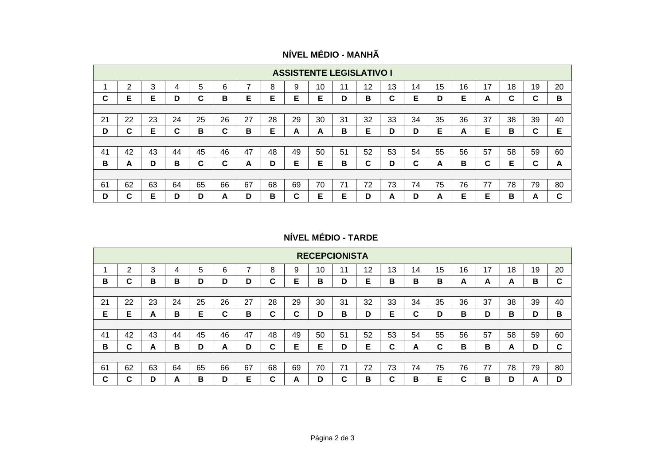|  | NÍVEL MÉDIO - MANHÃ |
|--|---------------------|
|  |                     |
|  |                     |
|  |                     |

|    | <b>ASSISTENTE LEGISLATIVO I</b> |    |    |        |    |    |    |    |    |    |    |    |    |    |    |    |    |        |    |
|----|---------------------------------|----|----|--------|----|----|----|----|----|----|----|----|----|----|----|----|----|--------|----|
|    | 2                               | 3  |    | 5      | 6  | ⇁  | 8  | 9  | 10 | 11 | 12 | 13 | 14 | 15 | 16 | 17 | 18 | 19     | 20 |
| C  | Е                               | Е  | D  | ⌒<br>u | B  | Е  | Е  | Е  | Е  | D  | В  | C  | Е  | D  | Е  | A  | C  | ⌒<br>u | B  |
|    |                                 |    |    |        |    |    |    |    |    |    |    |    |    |    |    |    |    |        |    |
| 21 | 22                              | 23 | 24 | 25     | 26 | 27 | 28 | 29 | 30 | 31 | 32 | 33 | 34 | 35 | 36 | 37 | 38 | 39     | 40 |
| D  | ⌒<br>u                          | Е  | C  | В      | C  | В  | Е  | A  | A  | в  | Е  | D  | D  | Е  | A  | Е  | в  | ⌒<br>u | Е  |
|    |                                 |    |    |        |    |    |    |    |    |    |    |    |    |    |    |    |    |        |    |
| 41 | 42                              | 43 | 44 | 45     | 46 | 47 | 48 | 49 | 50 | 51 | 52 | 53 | 54 | 55 | 56 | 57 | 58 | 59     | 60 |
| в  | A                               | D  | B  | ⌒<br>u | C  | A  | D  | Е  | Е  | B  | C  | D  | C  | A  | В  | С  | Е  | ◠<br>u | A  |
|    |                                 |    |    |        |    |    |    |    |    |    |    |    |    |    |    |    |    |        |    |
| 61 | 62                              | 63 | 64 | 65     | 66 | 67 | 68 | 69 | 70 | 71 | 72 | 73 | 74 | 75 | 76 | 77 | 78 | 79     | 80 |
| D  | ⌒<br>u                          | Е  | D  | D      | A  | D  | в  | C  | Е  | Е  | D  | A  | D  | A  | Е  | Е  | в  | A      | C  |

**NÍVEL MÉDIO - TARDE**

|        | <b>RECEPCIONISTA</b> |    |    |    |    |    |        |        |    |    |    |        |    |    |        |    |    |    |    |
|--------|----------------------|----|----|----|----|----|--------|--------|----|----|----|--------|----|----|--------|----|----|----|----|
|        | 2                    | 3  | 4  | 5  | 6  | ⇁  | 8      | 9      | 10 | 11 | 12 | 13     | 14 | 15 | 16     | 17 | 18 | 19 | 20 |
| в      | ⌒<br>u               | в  | в  | D  | D  | D  | С      | Е      | в  | D  | Е  | в      | в  | в  | A      | A  | A  | в  | C  |
|        |                      |    |    |    |    |    |        |        |    |    |    |        |    |    |        |    |    |    |    |
| 21     | 22                   | 23 | 24 | 25 | 26 | 27 | 28     | 29     | 30 | 31 | 32 | 33     | 34 | 35 | 36     | 37 | 38 | 39 | 40 |
| Е      | Е                    | A  | в  | Е  | С  | B  | C      | ◠<br>u | D  | В  | D  | Е      | С  | D  | В      | D  | в  | D  | B  |
|        |                      |    |    |    |    |    |        |        |    |    |    |        |    |    |        |    |    |    |    |
| 41     | 42                   | 43 | 44 | 45 | 46 | 47 | 48     | 49     | 50 | 51 | 52 | 53     | 54 | 55 | 56     | 57 | 58 | 59 | 60 |
| в      | ⌒<br>u               | A  | в  | D  | A  | D  | С      | Е      | Е  | D  | Е  | C      | A  | С  | В      | в  | A  | D  | C  |
|        |                      |    |    |    |    |    |        |        |    |    |    |        |    |    |        |    |    |    |    |
| 61     | 62                   | 63 | 64 | 65 | 66 | 67 | 68     | 69     | 70 | 71 | 72 | 73     | 74 | 75 | 76     | 77 | 78 | 79 | 80 |
| ⌒<br>u | ⌒                    | n  | A  | в  | D  | Е  | ◠<br>u | A      | D  | ⌒  | в  | ◠<br>u | в  | Е  | ⌒<br>u | в  | D  | А  | D  |